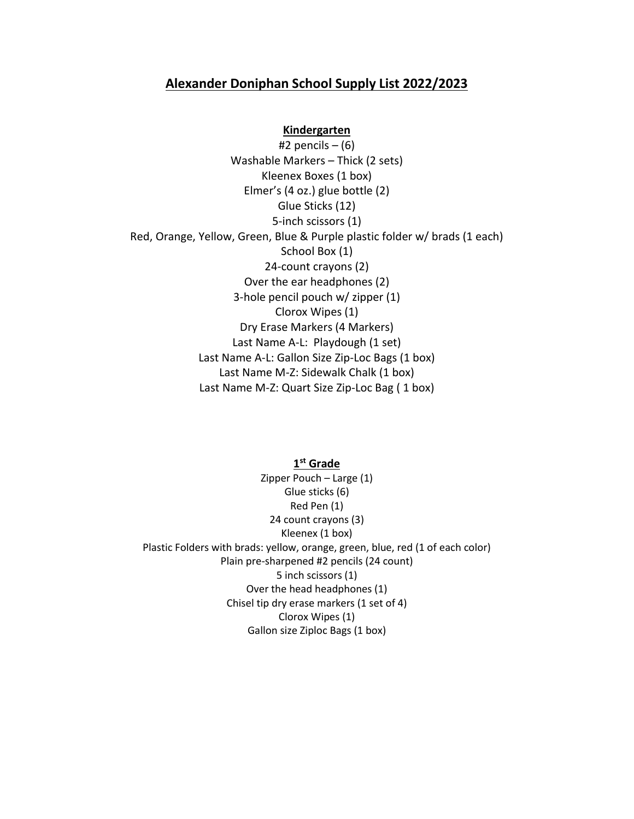# **Alexander Doniphan School Supply List 2022/2023**

#### **Kindergarten**

#2 pencils  $-$  (6) Washable Markers – Thick (2 sets) Kleenex Boxes (1 box) Elmer's (4 oz.) glue bottle (2) Glue Sticks (12) 5-inch scissors (1) Red, Orange, Yellow, Green, Blue & Purple plastic folder w/ brads (1 each) School Box (1) 24-count crayons (2) Over the ear headphones (2) 3-hole pencil pouch w/ zipper (1) Clorox Wipes (1) Dry Erase Markers (4 Markers) Last Name A-L: Playdough (1 set) Last Name A-L: Gallon Size Zip-Loc Bags (1 box) Last Name M-Z: Sidewalk Chalk (1 box) Last Name M-Z: Quart Size Zip-Loc Bag ( 1 box)

## **1 st Grade**

Zipper Pouch – Large (1) Glue sticks (6) Red Pen (1) 24 count crayons (3) Kleenex (1 box) Plastic Folders with brads: yellow, orange, green, blue, red (1 of each color) Plain pre-sharpened #2 pencils (24 count) 5 inch scissors (1) Over the head headphones (1) Chisel tip dry erase markers (1 set of 4) Clorox Wipes (1) Gallon size Ziploc Bags (1 box)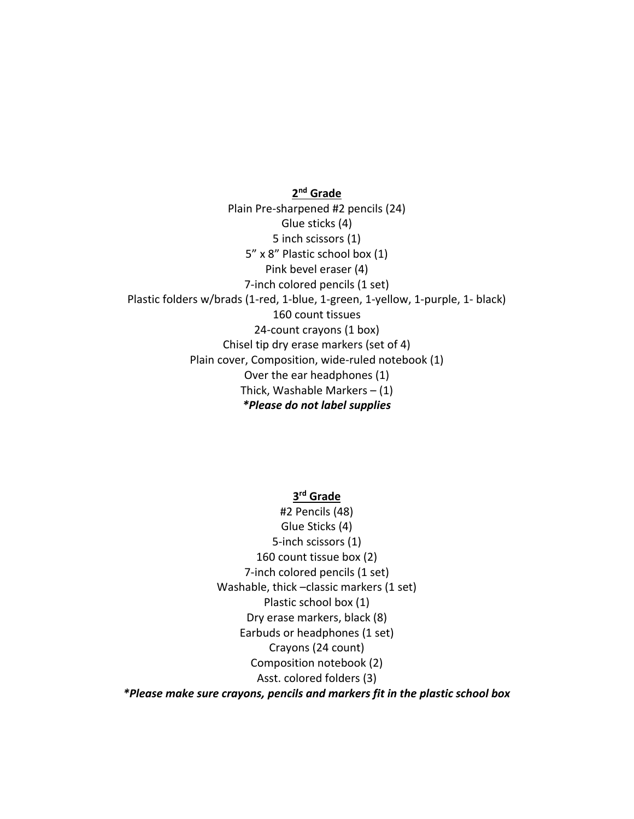**2 nd Grade** Plain Pre-sharpened #2 pencils (24) Glue sticks (4) 5 inch scissors (1) 5" x 8" Plastic school box (1) Pink bevel eraser (4) 7-inch colored pencils (1 set) Plastic folders w/brads (1-red, 1-blue, 1-green, 1-yellow, 1-purple, 1- black) 160 count tissues 24-count crayons (1 box) Chisel tip dry erase markers (set of 4) Plain cover, Composition, wide-ruled notebook (1) Over the ear headphones (1) Thick, Washable Markers  $- (1)$ *\*Please do not label supplies*

**3 rd Grade**

#2 Pencils (48) Glue Sticks (4) 5-inch scissors (1) 160 count tissue box (2) 7-inch colored pencils (1 set) Washable, thick –classic markers (1 set) Plastic school box (1) Dry erase markers, black (8) Earbuds or headphones (1 set) Crayons (24 count) Composition notebook (2) Asst. colored folders (3) *\*Please make sure crayons, pencils and markers fit in the plastic school box*